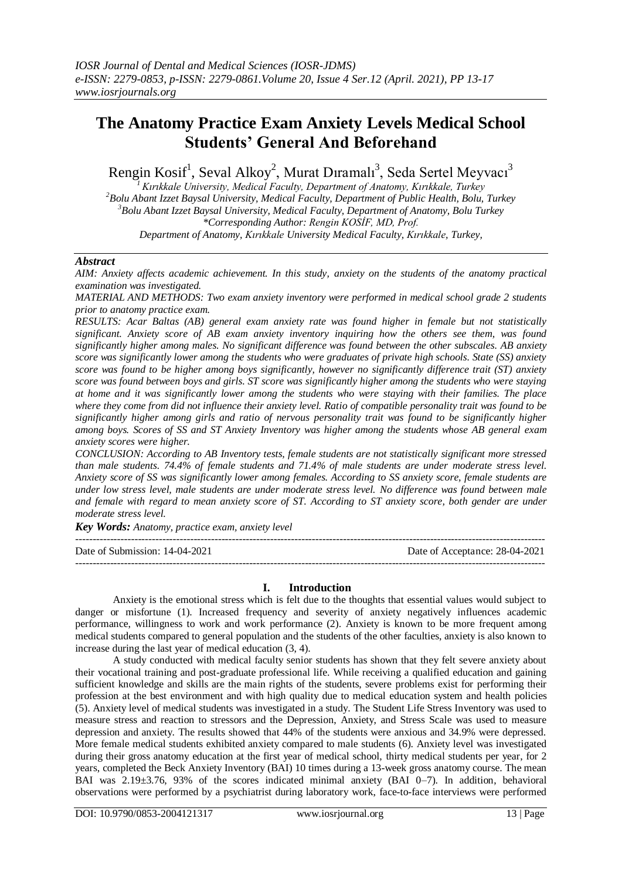# **The Anatomy Practice Exam Anxiety Levels Medical School Students' General And Beforehand**

Rengin Kosif<sup>1</sup>, Seval Alkoy<sup>2</sup>, Murat Dıramalı<sup>3</sup>, Seda Sertel Meyvacı<sup>3</sup>

*<sup>1</sup>Kırıkkale University, Medical Faculty, Department of Anatomy, Kırıkkale, Turkey <sup>2</sup>Bolu Abant Izzet Baysal University, Medical Faculty, Department of Public Health, Bolu, Turkey <sup>3</sup>Bolu Abant Izzet Baysal University, Medical Faculty, Department of Anatomy, Bolu Turkey \*Corresponding Author: Rengin KOSİF, MD, Prof. Department of Anatomy, Kırıkkale University Medical Faculty, Kırıkkale, Turkey,*

## *Abstract*

*AIM: Anxiety affects academic achievement. In this study, anxiety on the students of the anatomy practical examination was investigated.* 

*MATERIAL AND METHODS: Two exam anxiety inventory were performed in medical school grade 2 students prior to anatomy practice exam.* 

*RESULTS: Acar Baltas (AB) general exam anxiety rate was found higher in female but not statistically significant. Anxiety score of AB exam anxiety inventory inquiring how the others see them, was found significantly higher among males. No significant difference was found between the other subscales. AB anxiety score was significantly lower among the students who were graduates of private high schools. State (SS) anxiety score was found to be higher among boys significantly, however no significantly difference trait (ST) anxiety score was found between boys and girls. ST score was significantly higher among the students who were staying at home and it was significantly lower among the students who were staying with their families. The place where they come from did not influence their anxiety level. Ratio of compatible personality trait was found to be significantly higher among girls and ratio of nervous personality trait was found to be significantly higher among boys. Scores of SS and ST Anxiety Inventory was higher among the students whose AB general exam anxiety scores were higher.* 

*CONCLUSION: According to AB Inventory tests, female students are not statistically significant more stressed than male students. 74.4% of female students and 71.4% of male students are under moderate stress level. Anxiety score of SS was significantly lower among females. According to SS anxiety score, female students are under low stress level, male students are under moderate stress level. No difference was found between male and female with regard to mean anxiety score of ST. According to ST anxiety score, both gender are under moderate stress level.*

*Key Words: Anatomy, practice exam, anxiety level* ---------------------------------------------------------------------------------------------------------------------------------------

Date of Submission: 14-04-2021 Date of Acceptance: 28-04-2021

#### **I. Introduction**

---------------------------------------------------------------------------------------------------------------------------------------

Anxiety is the emotional stress which is felt due to the thoughts that essential values would subject to danger or misfortune (1). Increased frequency and severity of anxiety negatively influences academic performance, willingness to work and work performance (2). Anxiety is known to be more frequent among medical students compared to general population and the students of the other faculties, anxiety is also known to increase during the last year of medical education (3, 4).

A study conducted with medical faculty senior students has shown that they felt severe anxiety about their vocational training and post-graduate professional life. While receiving a qualified education and gaining sufficient knowledge and skills are the main rights of the students, severe problems exist for performing their profession at the best environment and with high quality due to medical education system and health policies (5). Anxiety level of medical students was investigated in a study. The Student Life Stress Inventory was used to measure stress and reaction to stressors and the Depression, Anxiety, and Stress Scale was used to measure depression and anxiety. The results showed that 44% of the students were anxious and 34.9% were depressed. More female medical students exhibited anxiety compared to male students (6). Anxiety level was investigated during their gross anatomy education at the first year of medical school, thirty medical students per year, for 2 years, completed the Beck Anxiety Inventory (BAI) 10 times during a 13-week gross anatomy course. The mean BAI was 2.19±3.76, 93% of the scores indicated minimal anxiety (BAI 0–7). In addition, behavioral observations were performed by a psychiatrist during laboratory work, face-to-face interviews were performed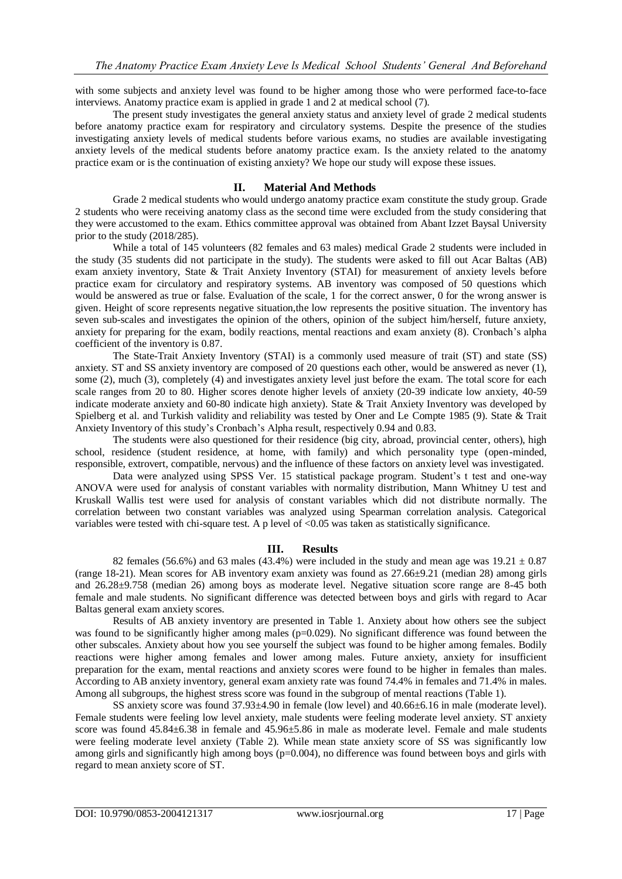with some subjects and anxiety level was found to be higher among those who were performed face-to-face interviews. Anatomy practice exam is applied in grade 1 and 2 at medical school (7).

The present study investigates the general anxiety status and anxiety level of grade 2 medical students before anatomy practice exam for respiratory and circulatory systems. Despite the presence of the studies investigating anxiety levels of medical students before various exams, no studies are available investigating anxiety levels of the medical students before anatomy practice exam. Is the anxiety related to the anatomy practice exam or is the continuation of existing anxiety? We hope our study will expose these issues.

## **II. Material And Methods**

Grade 2 medical students who would undergo anatomy practice exam constitute the study group. Grade 2 students who were receiving anatomy class as the second time were excluded from the study considering that they were accustomed to the exam. Ethics committee approval was obtained from Abant Izzet Baysal University prior to the study (2018/285).

While a total of 145 volunteers (82 females and 63 males) medical Grade 2 students were included in the study (35 students did not participate in the study). The students were asked to fill out Acar Baltas (AB) exam anxiety inventory, State & Trait Anxiety Inventory (STAI) for measurement of anxiety levels before practice exam for circulatory and respiratory systems. AB inventory was composed of 50 questions which would be answered as true or false. Evaluation of the scale, 1 for the correct answer, 0 for the wrong answer is given. Height of score represents negative situation,the low represents the positive situation. The inventory has seven sub-scales and investigates the opinion of the others, opinion of the subject him/herself, future anxiety, anxiety for preparing for the exam, bodily reactions, mental reactions and exam anxiety (8). Cronbach's alpha coefficient of the inventory is 0.87.

The State-Trait Anxiety Inventory (STAI) is a commonly used measure of trait (ST) and state (SS) anxiety. ST and SS anxiety inventory are composed of 20 questions each other, would be answered as never (1), some (2), much (3), completely (4) and investigates anxiety level just before the exam. The total score for each scale ranges from 20 to 80. Higher scores denote higher levels of anxiety (20-39 indicate low anxiety, 40-59 indicate moderate anxiety and 60-80 indicate high anxiety). State & Trait Anxiety Inventory was developed by Spielberg et al. and Turkish validity and reliability was tested by Oner and Le Compte 1985 (9). State & Trait Anxiety Inventory of this study's Cronbach's Alpha result, respectively 0.94 and 0.83.

The students were also questioned for their residence (big city, abroad, provincial center, others), high school, residence (student residence, at home, with family) and which personality type (open-minded, responsible, extrovert, compatible, nervous) and the influence of these factors on anxiety level was investigated.

Data were analyzed using SPSS Ver. 15 statistical package program. Student's t test and one-way ANOVA were used for analysis of constant variables with normality distribution, Mann Whitney U test and Kruskall Wallis test were used for analysis of constant variables which did not distribute normally. The correlation between two constant variables was analyzed using Spearman correlation analysis. Categorical variables were tested with chi-square test. A p level of <0.05 was taken as statistically significance.

#### **III. Results**

82 females (56.6%) and 63 males (43.4%) were included in the study and mean age was  $19.21 \pm 0.87$ (range 18-21). Mean scores for AB inventory exam anxiety was found as 27.66±9.21 (median 28) among girls and 26.28±9.758 (median 26) among boys as moderate level. Negative situation score range are 8-45 both female and male students. No significant difference was detected between boys and girls with regard to Acar Baltas general exam anxiety scores.

Results of AB anxiety inventory are presented in Table 1. Anxiety about how others see the subject was found to be significantly higher among males ( $p=0.029$ ). No significant difference was found between the other subscales. Anxiety about how you see yourself the subject was found to be higher among females. Bodily reactions were higher among females and lower among males. Future anxiety, anxiety for insufficient preparation for the exam, mental reactions and anxiety scores were found to be higher in females than males. According to AB anxiety inventory, general exam anxiety rate was found 74.4% in females and 71.4% in males. Among all subgroups, the highest stress score was found in the subgroup of mental reactions (Table 1).

SS anxiety score was found 37.93±4.90 in female (low level) and 40.66±6.16 in male (moderate level). Female students were feeling low level anxiety, male students were feeling moderate level anxiety. ST anxiety score was found  $45.84\pm6.38$  in female and  $45.96\pm5.86$  in male as moderate level. Female and male students were feeling moderate level anxiety (Table 2). While mean state anxiety score of SS was significantly low among girls and significantly high among boys ( $p=0.004$ ), no difference was found between boys and girls with regard to mean anxiety score of ST.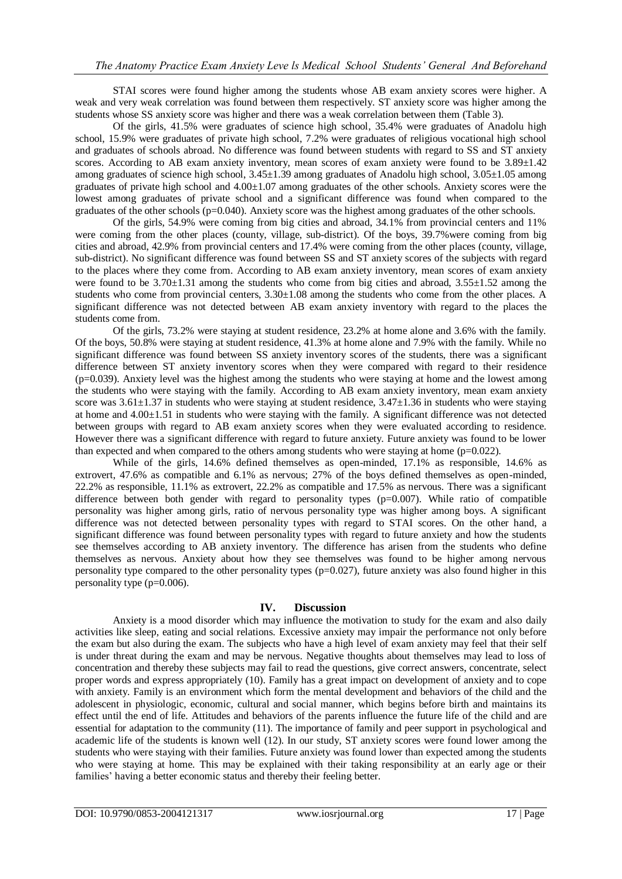STAI scores were found higher among the students whose AB exam anxiety scores were higher. A weak and very weak correlation was found between them respectively. ST anxiety score was higher among the students whose SS anxiety score was higher and there was a weak correlation between them (Table 3).

Of the girls, 41.5% were graduates of science high school, 35.4% were graduates of Anadolu high school, 15.9% were graduates of private high school, 7.2% were graduates of religious vocational high school and graduates of schools abroad. No difference was found between students with regard to SS and ST anxiety scores. According to AB exam anxiety inventory, mean scores of exam anxiety were found to be 3.89 $\pm$ 1.42 among graduates of science high school, 3.45±1.39 among graduates of Anadolu high school, 3.05±1.05 among graduates of private high school and 4.00±1.07 among graduates of the other schools. Anxiety scores were the lowest among graduates of private school and a significant difference was found when compared to the graduates of the other schools (p=0.040). Anxiety score was the highest among graduates of the other schools.

Of the girls, 54.9% were coming from big cities and abroad, 34.1% from provincial centers and 11% were coming from the other places (county, village, sub-district). Of the boys, 39.7%were coming from big cities and abroad, 42.9% from provincial centers and 17.4% were coming from the other places (county, village, sub-district). No significant difference was found between SS and ST anxiety scores of the subjects with regard to the places where they come from. According to AB exam anxiety inventory, mean scores of exam anxiety were found to be  $3.70\pm1.31$  among the students who come from big cities and abroad,  $3.55\pm1.52$  among the students who come from provincial centers,  $3.30\pm1.08$  among the students who come from the other places. A significant difference was not detected between AB exam anxiety inventory with regard to the places the students come from.

Of the girls, 73.2% were staying at student residence, 23.2% at home alone and 3.6% with the family. Of the boys, 50.8% were staying at student residence, 41.3% at home alone and 7.9% with the family. While no significant difference was found between SS anxiety inventory scores of the students, there was a significant difference between ST anxiety inventory scores when they were compared with regard to their residence (p=0.039). Anxiety level was the highest among the students who were staying at home and the lowest among the students who were staying with the family. According to AB exam anxiety inventory, mean exam anxiety score was  $3.61\pm1.37$  in students who were staying at student residence,  $3.47\pm1.36$  in students who were staying at home and 4.00±1.51 in students who were staying with the family. A significant difference was not detected between groups with regard to AB exam anxiety scores when they were evaluated according to residence. However there was a significant difference with regard to future anxiety. Future anxiety was found to be lower than expected and when compared to the others among students who were staying at home  $(p=0.022)$ .

While of the girls, 14.6% defined themselves as open-minded, 17.1% as responsible, 14.6% as extrovert, 47.6% as compatible and 6.1% as nervous; 27% of the boys defined themselves as open-minded, 22.2% as responsible, 11.1% as extrovert, 22.2% as compatible and 17.5% as nervous. There was a significant difference between both gender with regard to personality types (p=0.007). While ratio of compatible personality was higher among girls, ratio of nervous personality type was higher among boys. A significant difference was not detected between personality types with regard to STAI scores. On the other hand, a significant difference was found between personality types with regard to future anxiety and how the students see themselves according to AB anxiety inventory. The difference has arisen from the students who define themselves as nervous. Anxiety about how they see themselves was found to be higher among nervous personality type compared to the other personality types (p=0.027), future anxiety was also found higher in this personality type (p=0.006).

## **IV. Discussion**

Anxiety is a mood disorder which may influence the motivation to study for the exam and also daily activities like sleep, eating and social relations. Excessive anxiety may impair the performance not only before the exam but also during the exam. The subjects who have a high level of exam anxiety may feel that their self is under threat during the exam and may be nervous. Negative thoughts about themselves may lead to loss of concentration and thereby these subjects may fail to read the questions, give correct answers, concentrate, select proper words and express appropriately (10). Family has a great impact on development of anxiety and to cope with anxiety. Family is an environment which form the mental development and behaviors of the child and the adolescent in physiologic, economic, cultural and social manner, which begins before birth and maintains its effect until the end of life. Attitudes and behaviors of the parents influence the future life of the child and are essential for adaptation to the community (11). The importance of family and peer support in psychological and academic life of the students is known well (12). In our study, ST anxiety scores were found lower among the students who were staying with their families. Future anxiety was found lower than expected among the students who were staying at home. This may be explained with their taking responsibility at an early age or their families' having a better economic status and thereby their feeling better.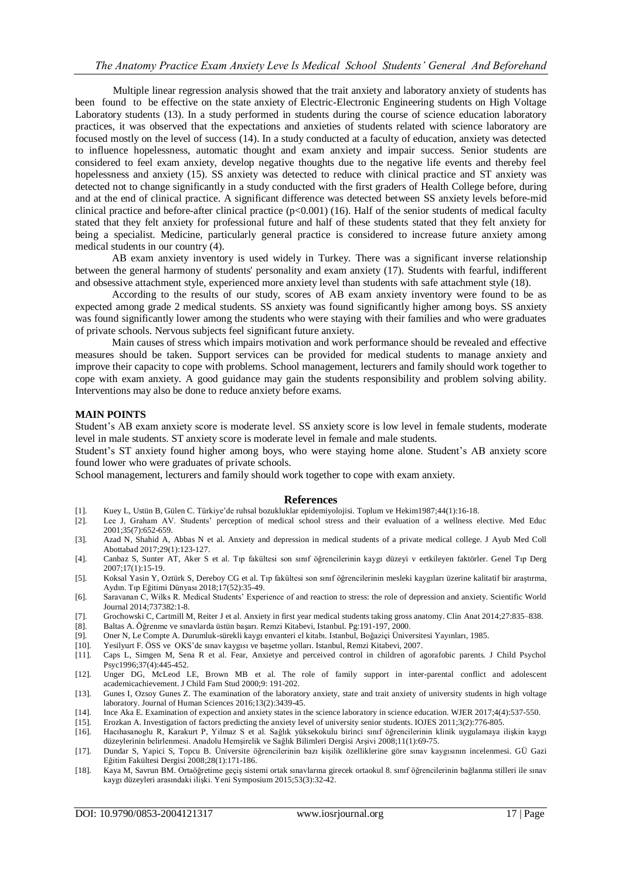Multiple linear regression analysis showed that the trait anxiety and laboratory anxiety of students has been found to be effective on the state anxiety of Electric-Electronic Engineering students on High Voltage Laboratory students (13). In a study performed in students during the course of science education laboratory practices, it was observed that the expectations and anxieties of students related with science laboratory are focused mostly on the level of success (14). In a study conducted at a faculty of education, anxiety was detected to influence hopelessness, automatic thought and exam anxiety and impair success. Senior students are considered to feel exam anxiety, develop negative thoughts due to the negative life events and thereby feel hopelessness and anxiety (15). SS anxiety was detected to reduce with clinical practice and ST anxiety was detected not to change significantly in a study conducted with the first graders of Health College before, during and at the end of clinical practice. A significant difference was detected between SS anxiety levels before-mid clinical practice and before-after clinical practice  $(p<0.001)$  (16). Half of the senior students of medical faculty stated that they felt anxiety for professional future and half of these students stated that they felt anxiety for being a specialist. Medicine, particularly general practice is considered to increase future anxiety among medical students in our country (4).

AB exam anxiety inventory is used widely in Turkey. There was a significant inverse relationship between the general harmony of students' personality and exam anxiety (17). Students with fearful, indifferent and obsessive attachment style, experienced more anxiety level than students with safe attachment style (18).

According to the results of our study, scores of AB exam anxiety inventory were found to be as expected among grade 2 medical students. SS anxiety was found significantly higher among boys. SS anxiety was found significantly lower among the students who were staying with their families and who were graduates of private schools. Nervous subjects feel significant future anxiety.

Main causes of stress which impairs motivation and work performance should be revealed and effective measures should be taken. Support services can be provided for medical students to manage anxiety and improve their capacity to cope with problems. School management, lecturers and family should work together to cope with exam anxiety. A good guidance may gain the students responsibility and problem solving ability. Interventions may also be done to reduce anxiety before exams.

### **MAIN POINTS**

Student's AB exam anxiety score is moderate level. SS anxiety score is low level in female students, moderate level in male students. ST anxiety score is moderate level in female and male students.

Student's ST anxiety found higher among boys, who were staying home alone. Student's AB anxiety score found lower who were graduates of private schools.

School management, lecturers and family should work together to cope with exam anxiety.

#### **References**

- [1]. Kuey L, Ustün B, Gülen C. Türkiye'de ruhsal bozukluklar epidemiyolojisi. Toplum ve Hekim1987;44(1):16-18.
- [2]. Lee J, Graham AV. Students' perception of medical school stress and their evaluation of a wellness elective. Med Educ 2001;35(7):652-659.
- [3]. Azad N, Shahid A, Abbas N et al. Anxiety and depression in medical students of a private medical college. J Ayub Med Coll Abottabad 2017;29(1):123-127.
- [4]. Canbaz S, Sunter AT, Aker S et al. Tıp fakültesi son sınıf öğrencilerinin kaygı düzeyi v eetkileyen faktörler. Genel Tıp Derg  $2007:17(1):15-19$
- [5]. Koksal Yasin Y, Oztürk S, Dereboy CG et al. Tıp fakültesi son sınıf öğrencilerinin mesleki kaygıları üzerine kalitatif bir araştırma, Aydın. Tıp Eğitimi Dünyası 2018;17(52):35-49.
- [6]. Saravanan C, Wilks R. Medical Students' Experience of and reaction to stress: the role of depression and anxiety. Scientific World Journal 2014;737382:1-8.
- [7]. Grochowski C, Cartmill M, Reiter J et al. Anxiety in first year medical students taking gross anatomy. Clin Anat 2014;27:835–838.
- [8]. Baltas A. Öğrenme ve sınavlarda üstün başarı. Remzi Kitabevi, Istanbul. Pg:191-197, 2000.
- [9]. Oner N, Le Compte A. Durumluk-sürekli kaygı envanteri el kitabı. Istanbul, Boğaziçi Üniversitesi Yayınları, 1985.
- [10]. Yesilyurt F. ÖSS ve OKS'de sınav kaygısı ve başetme yolları. Istanbul, Remzi Kitabevi, 2007.
- [11]. Caps L, Simgen M, Sena R et al. Fear, Anxietye and perceived control in children of agorafobic parents. J Child Psychol Psyc1996;37(4):445-452.
- [12]. Unger DG, McLeod LE, Brown MB et al. The role of family support in inter-parental conflict and adolescent academicachievement. J Child Fam Stud 2000;9: 191-202.
- [13]. Gunes I, Ozsoy Gunes Z. The examination of the laboratory anxiety, state and trait anxiety of university students in high voltage laboratory. Journal of Human Sciences 2016;13(2):3439-45.
- [14]. Ince Aka E. Examination of expection and anxiety states in the science laboratory in science education. WJER 2017;4(4):537-550.
- [15]. Erozkan A. Investigation of factors predicting the anxiety level of university senior students. IOJES 2011;3(2):776-805.
- [16]. Hacıhasanoglu R, Karakurt P, Yilmaz S et al. Sağlık yüksekokulu birinci sınıf öğrencilerinin klinik uygulamaya ilişkin kaygı düzeylerinin belirlenmesi. Anadolu Hemşirelik ve Sağlık Bilimleri Dergisi Arşivi 2008;11(1):69-75.
- [17]. Dundar S, Yapici S, Topcu B. Üniversite öğrencilerinin bazı kişilik özelliklerine göre sınav kaygısının incelenmesi. GÜ Gazi Eğitim Fakültesi Dergisi 2008;28(1):171-186.
- [18]. Kaya M, Savrun BM. Ortaöğretime geçiş sistemi ortak sınavlarına girecek ortaokul 8. sınıf öğrencilerinin bağlanma stilleri ile sınav kaygı düzeyleri arasındaki ilişki. Yeni Symposium 2015;53(3):32-42.